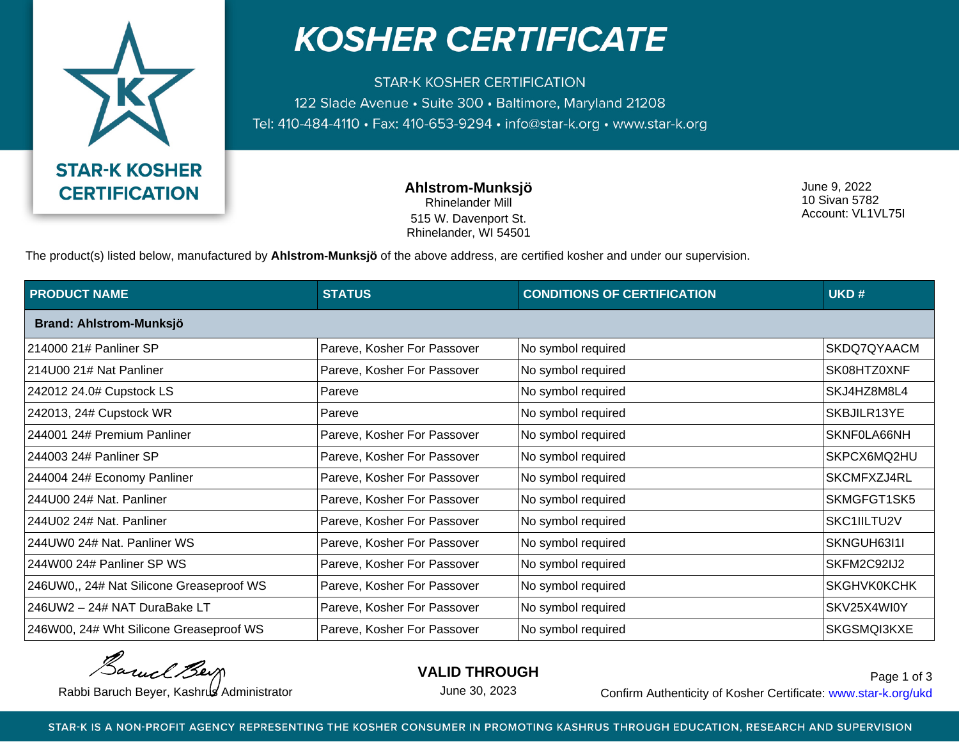

## **KOSHER CERTIFICATE**

**STAR-K KOSHER CERTIFICATION** 122 Slade Avenue • Suite 300 • Baltimore, Maryland 21208 Tel: 410-484-4110 · Fax: 410-653-9294 · info@star-k.org · www.star-k.org

> **Ahlstrom-Munksjö** Rhinelander Mill 515 W. Davenport St. Rhinelander, WI 54501

June 9, 2022 10 Sivan 5782 Account: VL1VL75I

The product(s) listed below, manufactured by **Ahlstrom-Munksjö** of the above address, are certified kosher and under our supervision.

| <b>PRODUCT NAME</b>                      | <b>STATUS</b>               | <b>CONDITIONS OF CERTIFICATION</b> | UKD#               |  |  |
|------------------------------------------|-----------------------------|------------------------------------|--------------------|--|--|
| Brand: Ahlstrom-Munksjö                  |                             |                                    |                    |  |  |
| 214000 21# Panliner SP                   | Pareve, Kosher For Passover | No symbol required                 | SKDQ7QYAACM        |  |  |
| 214U00 21# Nat Panliner                  | Pareve, Kosher For Passover | No symbol required                 | SK08HTZ0XNF        |  |  |
| 242012 24.0# Cupstock LS                 | Pareve                      | No symbol required                 | SKJ4HZ8M8L4        |  |  |
| 242013, 24# Cupstock WR                  | Pareve                      | No symbol required                 | SKBJILR13YE        |  |  |
| 244001 24# Premium Panliner              | Pareve, Kosher For Passover | No symbol required                 | SKNF0LA66NH        |  |  |
| 244003 24# Panliner SP                   | Pareve, Kosher For Passover | No symbol required                 | SKPCX6MQ2HU        |  |  |
| 244004 24# Economy Panliner              | Pareve, Kosher For Passover | No symbol required                 | SKCMFXZJ4RL        |  |  |
| 244U00 24# Nat. Panliner                 | Pareve, Kosher For Passover | No symbol required                 | SKMGFGT1SK5        |  |  |
| 244U02 24# Nat. Panliner                 | Pareve, Kosher For Passover | No symbol required                 | SKC1IILTU2V        |  |  |
| 244UW0 24# Nat. Panliner WS              | Pareve, Kosher For Passover | No symbol required                 | SKNGUH63I1I        |  |  |
| 244W00 24# Panliner SP WS                | Pareve, Kosher For Passover | No symbol required                 | SKFM2C92IJ2        |  |  |
| 246UW0,, 24# Nat Silicone Greaseproof WS | Pareve, Kosher For Passover | No symbol required                 | <b>SKGHVK0KCHK</b> |  |  |
| 246UW2 - 24# NAT DuraBake LT             | Pareve, Kosher For Passover | No symbol required                 | SKV25X4WI0Y        |  |  |
| 246W00, 24# Wht Silicone Greaseproof WS  | Pareve, Kosher For Passover | No symbol required                 | SKGSMQI3KXE        |  |  |

Barnel Berg

**VALID THROUGH**

June 30, 2023

Rabbi Baruch Beyer, Kashrus Administrator **Confirm Authenticity of Kosher Certificate:** www.star-k.org/ukd Page 1 of 3

STAR-K IS A NON-PROFIT AGENCY REPRESENTING THE KOSHER CONSUMER IN PROMOTING KASHRUS THROUGH EDUCATION, RESEARCH AND SUPERVISION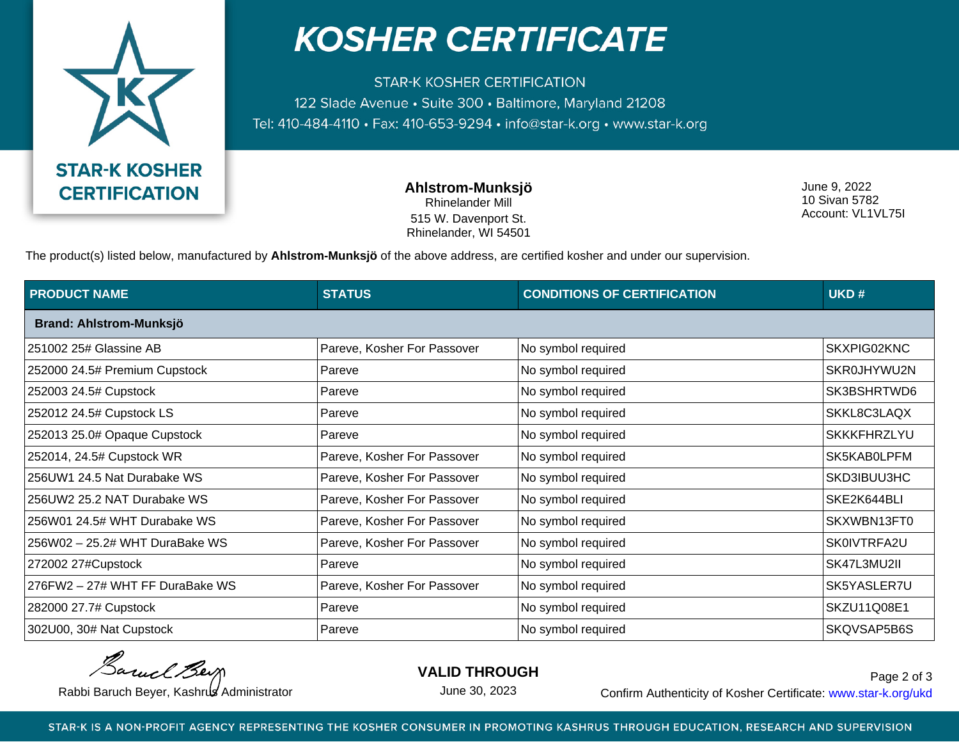

## **KOSHER CERTIFICATE**

**STAR-K KOSHER CERTIFICATION** 122 Slade Avenue • Suite 300 • Baltimore, Maryland 21208 Tel: 410-484-4110 · Fax: 410-653-9294 · info@star-k.org · www.star-k.org

> **Ahlstrom-Munksjö** Rhinelander Mill 515 W. Davenport St. Rhinelander, WI 54501

June 9, 2022 10 Sivan 5782 Account: VL1VL75I

The product(s) listed below, manufactured by **Ahlstrom-Munksjö** of the above address, are certified kosher and under our supervision.

| <b>PRODUCT NAME</b>             | <b>STATUS</b>               | <b>CONDITIONS OF CERTIFICATION</b> | UKD#               |
|---------------------------------|-----------------------------|------------------------------------|--------------------|
| Brand: Ahlstrom-Munksjö         |                             |                                    |                    |
| 251002 25# Glassine AB          | Pareve, Kosher For Passover | No symbol required                 | SKXPIG02KNC        |
| 252000 24.5# Premium Cupstock   | Pareve                      | No symbol required                 | SKR0JHYWU2N        |
| 252003 24.5# Cupstock           | Pareve                      | No symbol required                 | SK3BSHRTWD6        |
| 252012 24.5# Cupstock LS        | Pareve                      | No symbol required                 | SKKL8C3LAQX        |
| 252013 25.0# Opaque Cupstock    | Pareve                      | No symbol required                 | <b>SKKKFHRZLYU</b> |
| 252014, 24.5# Cupstock WR       | Pareve, Kosher For Passover | No symbol required                 | SK5KAB0LPFM        |
| 256UW1 24.5 Nat Durabake WS     | Pareve, Kosher For Passover | No symbol required                 | SKD3IBUU3HC        |
| 256UW2 25.2 NAT Durabake WS     | Pareve, Kosher For Passover | No symbol required                 | SKE2K644BLI        |
| 256W01 24.5# WHT Durabake WS    | Pareve, Kosher For Passover | No symbol required                 | SKXWBN13FT0        |
| 256W02 - 25.2# WHT DuraBake WS  | Pareve, Kosher For Passover | No symbol required                 | SK0IVTRFA2U        |
| 272002 27#Cupstock              | Pareve                      | No symbol required                 | SK47L3MU2II        |
| 276FW2 - 27# WHT FF DuraBake WS | Pareve, Kosher For Passover | No symbol required                 | SK5YASLER7U        |
| 282000 27.7# Cupstock           | Pareve                      | No symbol required                 | SKZU11Q08E1        |
| 302U00, 30# Nat Cupstock        | Pareve                      | No symbol required                 | SKQVSAP5B6S        |

Barnel Berg

**VALID THROUGH**

June 30, 2023

Rabbi Baruch Beyer, Kashrus Administrator **Confirm Authenticity of Kosher Certificate:** www.star-k.org/ukd Page 2 of 3

STAR-K IS A NON-PROFIT AGENCY REPRESENTING THE KOSHER CONSUMER IN PROMOTING KASHRUS THROUGH EDUCATION, RESEARCH AND SUPERVISION